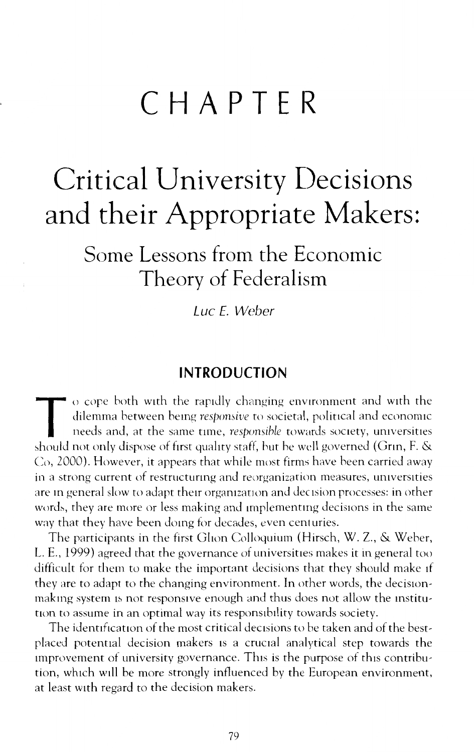# **CHAPTER**

## Critical University Decisions and their Appropriate Makers:

Some Lessons from the Economic Theory of Federalism

Luc E. Weber

#### **INTRODUCTION**

T o cope both with the rapidly changing environment and with the dilemma between being *responsive* to societal, political and economic needs and, at the same time, *responsible* towards society, universities should not on dilemma between bemg *respomive* to societal, political and economic needs and, at the same time, *responsible* towards society, universities should not only dispose of first quality staff, but he well governed (Grin, F. & Co, 2000). However, it appears that while most firms have heen carried away in a strong current of restructunng and reorganization measures, universities are in general slow to adapt their organization and decision processes: in other words, they are more or less making and implementing decisions in the same way that they have been domg for decades, even centuries.

The participants in the first Ghon Colloquium (Hirsch, W. Z., & Weber, L. E., 1999) agreed that the governance of universities makes it in general too difficult for them to make the important decisions that they should make If they are to adapt to the changing environment. In other words, the decisionmaking system is not responsive enough and thus does not allow the institution to assume in an optimal way its responsibility towards society.

The identification of the most critical decisions to be taken and of the bestplaced potential decision makers is a crucial analytical step towards the Improvement of university governance. This is the purpose of this contribution, which will be more strongly influenced by the European environment, at least with regard to the decision makers.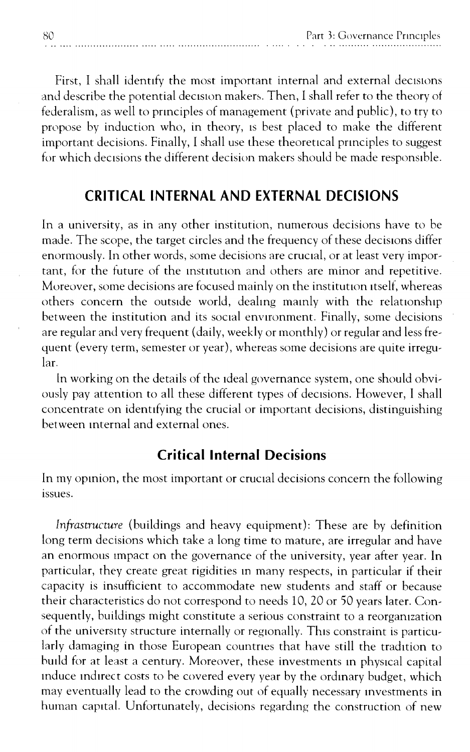First, I shall identify the most important internal and external decisions and describe the potential decision makers. Then, I shall refer to the theory of federalism, as well to pnnciples of management (private and public), to try to propose by induction who, in theory, ts best placed to make the different important decisions. Finally, I shall use these theoretical pnnciples to suggest for which decisions the different decision makers should be made responsible.

#### **CRITICAL INTERNAL AND EXTERNAL DECISIONS**

In a university, as in any other institution, numerous decisions have to be made. The scope, the target circles and the frequency of these decisions differ enormously. In other words, some decisions are cructal, or at least very important, for the future of the mstttutlon and others are minor and repetitive. Moreover, some decisions are focused mainly on the institution itself, whereas others concern the outside world, dealmg mamly with the relationship between the institution and its social environment. Finally, some decisions are regular and very frequent (daily, weekly or monthly) or regular and less frequent (every term, semester or year), whereas some decisions are quite irregu~ lar.

ln working on the details of the ideal governance system, one should obvi~ ously pay attention to all these different types of decisions. However, I shall concentrate on identifying the crucial or important decisions, distinguishing between mternal and external ones.

#### **Critical Internal Decisions**

In my opinion, the most important or crucial decisions concern the following issues.

*Infrastructure* (buildings and heavy equipment): These are by definition long term decisions which take a long time to mature, are irregular and have an enormous impact on the governance of the university, year after year. In particular, they create great rigidities m many respects, in particular if their capacity is insufficient to accommodate new students and staff or because their characteristics do not correspond to needs 10, 20 or 50 years later. Consequently, buildings might constitute a serious constraint to a reorgamzation of the universtty structure internally or regionally. This constraint is particu~ larly damaging in those European countries that have still the tradition to hutld for at least a century. Moreover, these investments m phystcal capital induce indirect costs to be covered every year by the ordinary budget, which may eventually lead to the crowding out of equally necessary mvestments in human capital. Unfortunately, decisions regarding the construction of new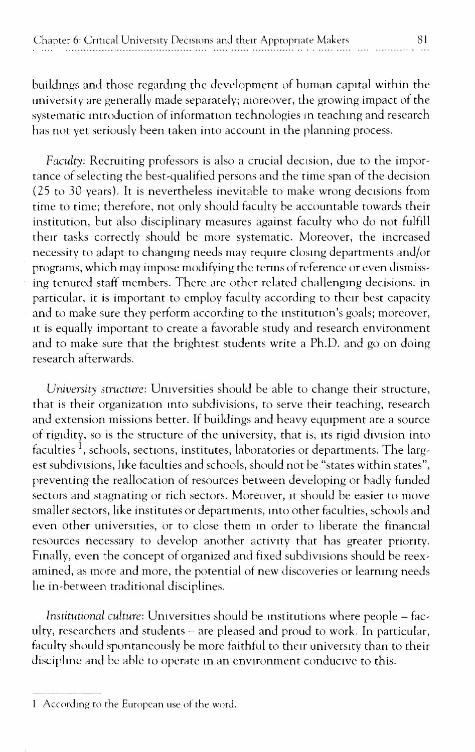buildmgs and those regardmg the development of human capital within the university are generally made separately; moreover, the growing impact of the systematic mtroduction of information technologies m teachmg and research has not yet seriously been taken into account in the planning process.

*Faculty:* Recruiting professors is also a crucial decision, due to the importance of selecting the best-qualified persons and the time span of the decision (25 to 30 years). It is nevertheless inevitable to make wrong dectsions from time to time; therefore, not only should faculty be accountable towards their institution, but also disciplinary measures against faculty who do not fulfill their tasks correctly should be more systematic. Moreover, the increased necessity to adapt to changing needs may require closing departments and/or programs, which may impose modifying the terms of reference or even dismissing tenured staff members. There are other related challengmg decisions: in particular, it is important to employ faculty according to their best capacity and to make sure they perform according to the institution's goals; moreover, it is equally important to create a favorable study and research environment and to make sure that the brightest students write a Ph.D. and go on doing research afterwards.

*University structure:* Umversities should be able to change their structure, that is their organization into subdivisions, to serve their teaching, research and extension missions better. If buildings and heavy equtpment are a source of rigidity, so is the structure of the university, that is, its rigid division into faculties  $^{\mathrm{1}},$  schools, sections, institutes, laboratories or departments. The largest subdivisions, like faculties and schools, should not be "states within states". preventing the reallocation of resources between developing or badly funded sectors and stagnating or rich sectors. Moreover, it should be easier to move smaller sectors, like institutes or departments, mto other faculties, schools and even other universities, or to close them m order to liberate the financial resources necessary to develop another activity that has greater prionty. Fmally, even the concept of organized and fixed subdivisions should be reexamined, as more and more, the potential of new discoveries or learning needs he in-between traditional disciplines.

*Institutional culture:* Umversities should be mstitutions where people- faculty, researchers and students- are pleased and proud to work. In particular, faculty should spontaneously be more faithful to their university than to their discipline and be able to operate in an environment conducive to this.

I Accordmg to the European use of the word.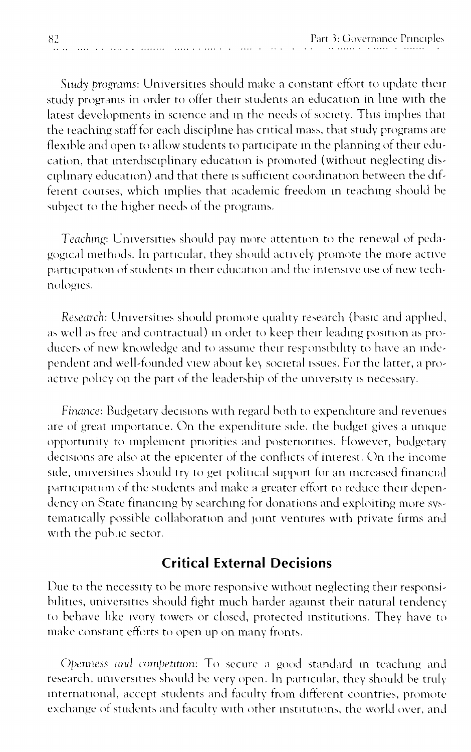Study programs: Universities should make a constant effort to update their study programs in order to offer their students an education in line with the latest developments in science and in the needs of society. This implies that the teaching staff for each discipline has critical mass, that study programs are flexible and open to allow students to participate in the planning of their education, that interdisciplinary education is promoted (without neglecting disciplinary education) and that there is sufficient coordination between the different courses, which implies that academic freedom in teaching should be subject to the higher needs of the programs.

 $\sim$  100  $\sim$  100  $\sim$ 

Teaching: Universities should pay more attention to the renewal of pedagogical methods. In particular, they should actively promote the more active participation of students in their education and the intensive use of new technologies.

Research: Universities should promote quality research (basic and applied, as well as free and contractual) in order to keep their leading position as producers of new knowledge and to assume their responsibility to have an independent and well-founded view about key societal issues. For the latter, a proactive policy on the part of the leadership of the university is necessary.

Finance: Budgetary decisions with regard both to expenditure and revenues are of great importance. On the expenditure side, the budget gives a unique opportunity to implement priorities and posteriorities. However, budgetary decisions are also at the epicenter of the conflicts of interest. On the income side, universities should try to get political support for an increased financial participation of the students and make a greater effort to reduce their dependency on State financing by searching for donations and exploiting more systematically possible collaboration and joint ventures with private firms and with the public sector.

#### **Critical External Decisions**

Due to the necessity to be more responsive without neglecting their responsibilities, universities should fight much harder against their natural tendency to behave like ivory towers or closed, protected institutions. They have to make constant efforts to open up on many fronts.

Openness and competition: To secure a good standard in teaching and research, universities should be very open. In particular, they should be truly international, accept students and faculty from different countries, promote exchange of students and faculty with other institutions, the world over, and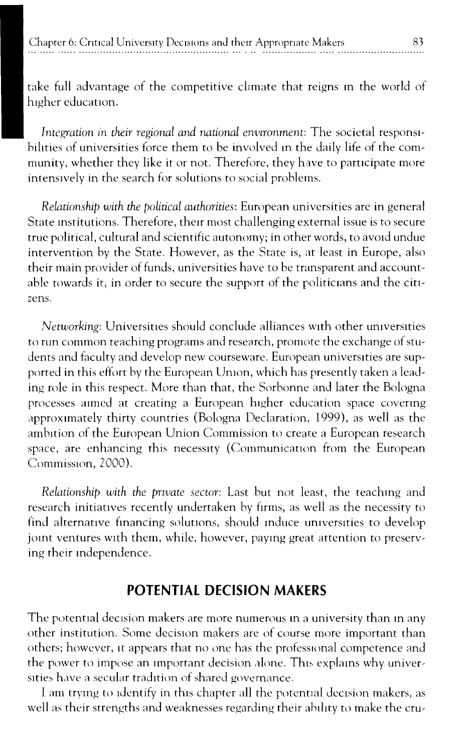take full advantage of the competitive climate that reigns in the world of higher education.

Integration in their regional and national environment: The societal responsibilities of universities force them to be involved in the daily life of the community, whether they like it or not. Therefore, they have to participate more intensively in the search for solutions to social problems.

Relationship with the political authorities: European universities are in general State institutions. Therefore, their most challenging external issue is to secure true political, cultural and scientific autonomy; in other words, to avoid undue intervention by the State. However, as the State is, at least in Europe, also their main provider of funds, universities have to be transparent and accountable towards it, in order to secure the support of the politicians and the citizens.

Networking: Universities should conclude alliances with other universities to run common teaching programs and research, promote the exchange of students and faculty and develop new courseware. European universities are supported in this effort by the European Union, which has presently taken a leading role in this respect. More than that, the Sorbonne and later the Bologna processes aimed at creating a European higher education space covering approximately thirty countries (Bologna Declaration, 1999), as well as the ambition of the European Union Commission to create a European research space, are enhancing this necessity (Communication from the European Commission, 2000).

Relationship with the private sector: Last but not least, the teaching and research initiatives recently undertaken by firms, as well as the necessity to find alternative financing solutions, should induce universities to develop joint ventures with them, while, however, paying great attention to preserving their independence.

#### POTENTIAL DECISION MAKERS

The potential decision makers are more numerous in a university than in any other institution. Some decision makers are of course more important than others; however, it appears that no one has the professional competence and the power to impose an important decision alone. This explains why universities have a secular tradition of shared governance.

I am trying to identify in this chapter all the potential decision makers, as well as their strengths and weaknesses regarding their ability to make the cru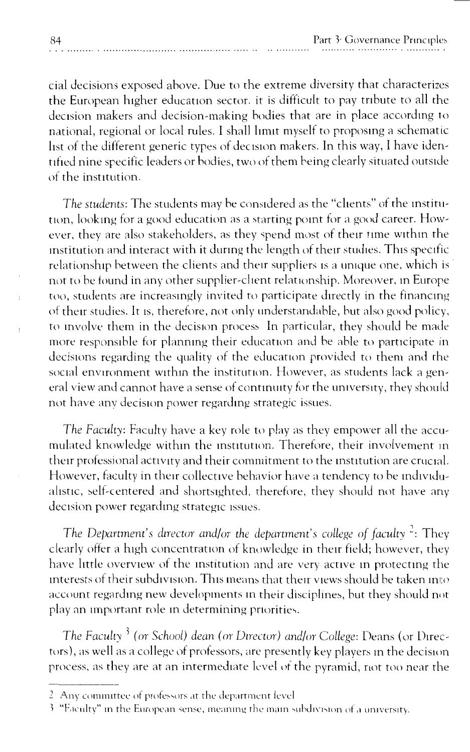cial decisions exposed above. Due to the extreme diversity that characterizes the European higher education sector, it is difficult to pay tribute to all the decision makers and decision-making bodies that are in place according to national, regional or local rules. I shall limit myself to proposing a schematic list of the different generic types of decision makers. In this way, I have identified nine specific leaders or bodies, two of them being clearly situated outside of the institution.

The students: The students may be considered as the "clients" of the institution, looking for a good education as a starting point for a good career. However, they are also stakeholders, as they spend most of their time within the institution and interact with it during the length of their studies. This specific relationship between the clients and their suppliers is a unique one, which is not to be found in any other supplier-client relationship. Moreover, in Europe too, students are increasingly invited to participate directly in the financing of their studies. It is, therefore, not only understandable, but also good policy, to involve them in the decision process. In particular, they should be made more responsible for planning their education and be able to participate in decisions regarding the quality of the education provided to them and the social environment within the institution. However, as students lack a general view and cannot have a sense of continuity for the university, they should not have any decision power regarding strategic issues.

The Faculty: Faculty have a key role to play as they empower all the accumulated knowledge within the institution. Therefore, their involvement in their professional activity and their commitment to the institution are crucial. However, faculty in their collective behavior have a tendency to be individualistic, self-centered and shortsighted, therefore, they should not have any decision power regarding strategic issues.

The Department's director and/or the department's college of faculty<sup>2</sup>: They clearly offer a high concentration of knowledge in their field; however, they have little overview of the institution and are very active in protecting the interests of their subdivision. This means that their views should be taken into account regarding new developments in their disciplines, but they should not play an important role in determining priorities.

The Faculty<sup>3</sup> (or School) dean (or Director) and/or College: Deans (or Directors), as well as a college of professors, are presently key players in the decision process, as they are at an intermediate level of the pyramid, not too near the

<sup>2.</sup> Any committee of professors at the department level

<sup>3 &</sup>quot;Faculty" in the European sense, meaning the main subdivision of a university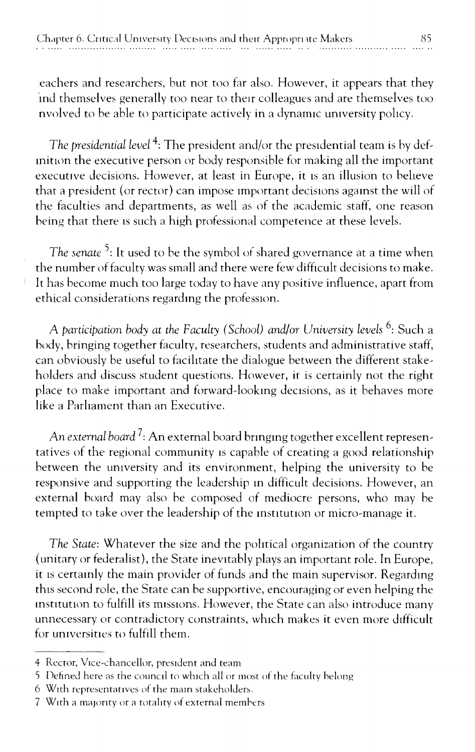eachers and researchers, but not too far also. However, it appears that they ind themselves generally too near to their colleagues and are themselves too nvolved to be able to participate actively in a dynamic university policy.

The presidential level<sup>4</sup>: The president and/or the presidential team is by definition the executive person or body responsible for making all the important executive decisions. However, at least in Europe, it is an illusion to believe that a president (or rector) can impose important decisions against the will of the faculties and departments, as well as of the academic staff, one reason being that there is such a high professional competence at these levels.

The senate<sup>5</sup>: It used to be the symbol of shared governance at a time when the number of faculty was small and there were few difficult decisions to make. It has become much too large today to have any positive influence, apart from ethical considerations regarding the profession.

A participation body at the Faculty (School) and/or University levels <sup>6</sup>: Such a body, bringing together faculty, researchers, students and administrative staff, can obviously be useful to facilitate the dialogue between the different stakeholders and discuss student questions. However, it is certainly not the right place to make important and forward-looking decisions, as it behaves more like a Parliament than an Executive.

An external board<sup>7</sup>: An external board bringing together excellent representatives of the regional community is capable of creating a good relationship between the university and its environment, helping the university to be responsive and supporting the leadership in difficult decisions. However, an external board may also be composed of mediocre persons, who may be tempted to take over the leadership of the institution or micro-manage it.

The State: Whatever the size and the political organization of the country (unitary or federalist), the State inevitably plays an important role. In Europe, it is certainly the main provider of funds and the main supervisor. Regarding this second role, the State can be supportive, encouraging or even helping the institution to fulfill its missions. However, the State can also introduce many unnecessary or contradictory constraints, which makes it even more difficult for universities to fulfill them.

<sup>4</sup> Rector, Vice-chancellor, president and team

<sup>5</sup> Defined here as the council to which all or most of the faculty belong

<sup>6</sup> With representatives of the main stakeholders.

<sup>7</sup> With a majority or a totality of external members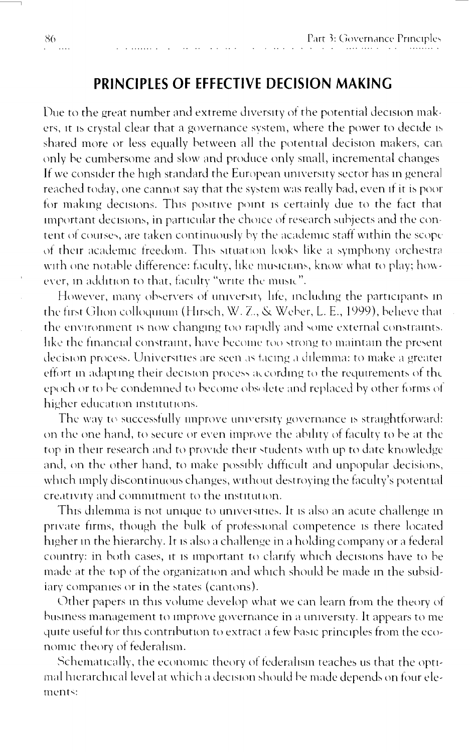### PRINCIPLES OF EFFECTIVE DECISION MAKING

Due to the great number and extreme diversity of the potential decision makers, it is crystal clear that a governance system, where the power to decide is shared more or less equally between all the potential decision makers, can only be cumbersome and slow and produce only small, incremental changes If we consider the high standard the European university sector has in general reached today, one cannot say that the system was really bad, even if it is poor for making decisions. This positive point is certainly due to the fact that important decisions, in particular the choice of research subjects and the content of courses, are taken continuously by the academic staff within the scope of their academic freedom. This situation looks like a symphony orchestra with one notable difference: faculty, like musicians, know what to play; however, in addition to that, faculty "write the music".

However, many observers of university life, including the participants in the first Glion colloquium (Hirsch, W. Z., & Weber, L. E., 1999), believe that the environment is now changing too rapidly and some external constraints. like the financial constraint, have become too strong to maintain the present decision process. Universities are seen as facing a dilemma: to make a greater effort in adapting their decision process according to the requirements of the epoch or to be condemned to become obsolete and replaced by other forms of higher education institutions.

The way to successfully improve university governance is straightforward: on the one hand, to secure or even improve the ability of faculty to be at the top in their research and to provide their students with up to date knowledge and, on the other hand, to make possibly difficult and unpopular decisions, which imply discontinuous changes, without destroying the faculty's potential creativity and commitment to the institution.

This dilemma is not unique to universities. It is also an acute challenge in private firms, though the bulk of professional competence is there located higher in the hierarchy. It is also a challenge in a holding company or a federal country: in both cases, it is important to clarify which decisions have to be made at the top of the organization and which should be made in the subsidiary companies or in the states (cantons).

Other papers in this volume develop what we can learn from the theory of business management to improve governance in a university. It appears to me quite useful for this contribution to extract a few basic principles from the economic theory of federalism.

Schematically, the economic theory of federalism teaches us that the optimal hierarchical level at which a decision should be made depends on four elements: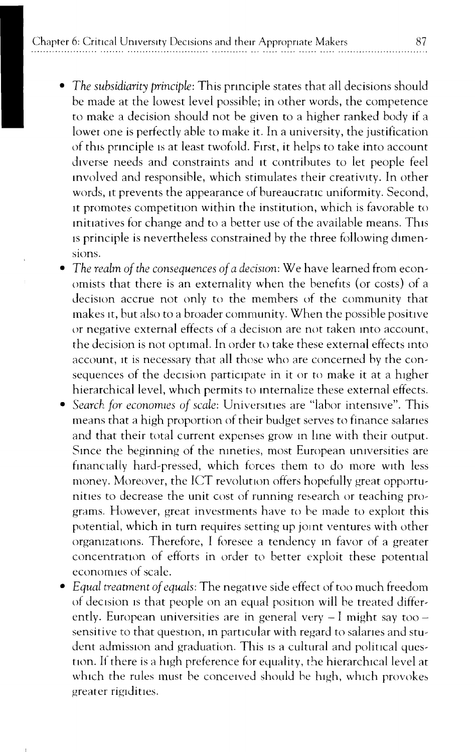- *The subsidiarity principle:* This principle states that all decisions should be made at the lowest level possible; in other words, the competence to make a decision should not be given to a higher ranked body if a lower one is perfectly able to make it. In a university, the justification of this principle is at least twofold. First, it helps to take into account diverse needs and constraints and it contributes to let people feel mvolved and responsible, which stimulates tneir creativity. In other words, tt prevents the appearance of bureaucratic uniformity. Second, tt promotes competition within the institution, which is favorable to mittatives for change and to a better use of the available means. Thts is principle is nevertheless constrained by the three following dimensions.
- *The realm of the consequences of a decision:* We have learned from economists that there is an externality when the beneftts (or costs) of a decision accrue not only to the members of the community that makes tt, but also to a broader community. When the possible positive or negative external effects of a decision are not taken into account, the decision is not optimal. In order to take these external effects mto account, it is necessary that all those who are concerned by the consequences of the decision participate in it or to make it at a higher hierarchical level, which permits to internalize these external effects.
- Search for economies of scale: Universities are "labor intensive". This means that a high proportion of their budget serves to finance salanes and that their total current expenses grow m lme with their output. Smce the beginning of the nmeties, most European umversities are financially hard-pressed, which forces them to do more with less money. Moreover, the ICT revolution offers hopefully great opportunities to decrease the unit cost of running research or teaching programs. However, great investments have to be made to explott this potential, which in turn requires setting up jomt ventures with other orgamzattons. Therefore, I foresee a tendency m favor of a greater concentration of efforts in order to better exploit these potential economies of scale.
- *Equal treatment of equals:* The negattve side effect of too much freedom of decision is that people on an equal position will be treated differently. European universities are in general very  $-1$  might say too  $$ sensitive to that question, in particular with regard to salaries and student admission and graduation. This is a cultural and political question. If there is a high preference for equality, the hierarchical level at which the rules must be conceived should be high, which provokes greater rigidities.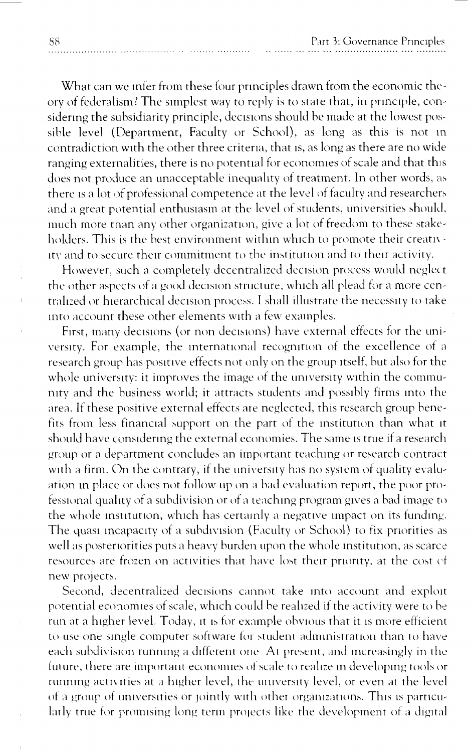What can we infer from these four principles drawn from the economic theory of federalism? The simplest way to reply is to state that, in principle, considering the subsidiarity principle, decisions should be made at the lowest possible level (Department, Faculty or School), as long as this is not in contradiction with the other three criteria, that is, as long as there are no wide ranging externalities, there is no potential for economies of scale and that this does not produce an unacceptable inequality of treatment. In other words, as there is a lot of professional competence at the level of faculty and researchers and a great potential enthusiasm at the level of students, universities should, much more than any other organization, give a lot of freedom to these stakeholders. This is the best environment within which to promote their creativity and to secure their commitment to the institution and to their activity.

However, such a completely decentralized decision process would neglect the other aspects of a good decision structure, which all plead for a more centralized or hierarchical decision process. I shall illustrate the necessity to take into account these other elements with a few examples.

First, many decisions (or non decisions) have external effects for the university. For example, the international recognition of the excellence of a research group has positive effects not only on the group itself, but also for the whole university: it improves the image of the university within the community and the business world; it attracts students and possibly firms into the area. If these positive external effects are neglected, this research group benefits from less financial support on the part of the institution than what it should have considering the external economies. The same is true if a research group or a department concludes an important teaching or research contract with a firm. On the contrary, if the university has no system of quality evaluation in place or does not follow up on a bad evaluation report, the poor professional quality of a subdivision or of a teaching program gives a bad image to the whole institution, which has certainly a negative impact on its funding. The quasi incapacity of a subdivision (Faculty or School) to fix priorities as well as posteriorities puts a heavy burden upon the whole institution, as scarce resources are frozen on activities that have lost their priority, at the cost of new projects.

Second, decentralized decisions cannot take into account and exploit potential economies of scale, which could be realized if the activity were to be run at a higher level. Today, it is for example obvious that it is more efficient to use one single computer software for student administration than to have each subdivision running a different one. At present, and increasingly in the future, there are important economies of scale to realize in developing tools or running activities at a higher level, the university level, or even at the level of a group of universities or jointly with other organizations. This is particularly true for promising long term projects like the development of a digital

88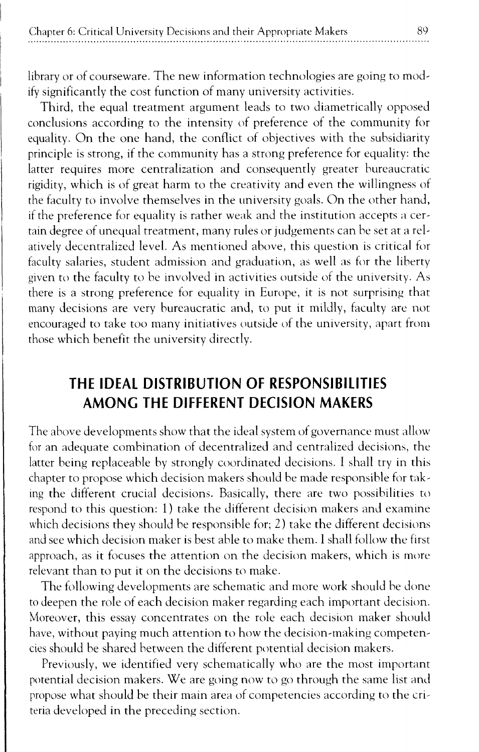library or of courseware. The new information technologies are going to modify significantly the cost function of many university activities.

Third, the equal treatment argument leads to two diametrically opposed conclusions according to the intensity of preference of the community for equality. On the one hand, the conflict of objectives with the subsidiarity principle is strong, if the community has a strong preference for equality: the latter requires more centralization and consequently greater bureaucratic rigidity, which is of great harm to the creativity and even the willingness of the faculty to involve themselves in the university goals. On the other hand, if the preference for equality is rather weak and the institution accepts a certain degree of unequal treatment, many rules or judgements can be set at a relatively decentralized level. As mentioned above, this question is critical for faculty salaries, student admission and graduation, as well as for the liberty given to the faculty to be involved in activities outside of the university. As there is a strong preference for equality in Europe, it is not surprising that many decisions are very bureaucratic and, to put it mildly, faculty are not encouraged to take too many initiatives outside of the university, apart from those which benefit the university directly.

## **THE IDEAL DISTRIBUTION OF RESPONSIBILITIES AMONG THE DIFFERENT DECISION MAKERS**

The above developments show that the ideal system of governance must allow for an adequate combination of decentralized and centralized decisions, the latter being replaceable by strongly coordinated decisions. I shall try in this chapter to propose which decision makers should be made responsible for taking the different crucial decisions. Basically, there are two possibilities to respond to this question: 1) take the different decision makers and examine which decisions they should be responsible for; 2) take the different decisions and see which decision maker is best able to make them. I shall follow the first approach, as it focuses the attention on the decision makers, which is more relevant than to put it on the decisions to make.

The following developments are schematic and more work should be done to deepen the role of each decision maker regarding each important decision. Moreover, this essay concentrates on the role each decision maker should have, without paying much attention to how the decision-making competencies should be shared between the different potential decision makers.

Previously, we identified very schematically who are the most important potential decision makers. We are going now to go through the same list and propose what should be their main area of competencies according to the criteria developed in the preceding section.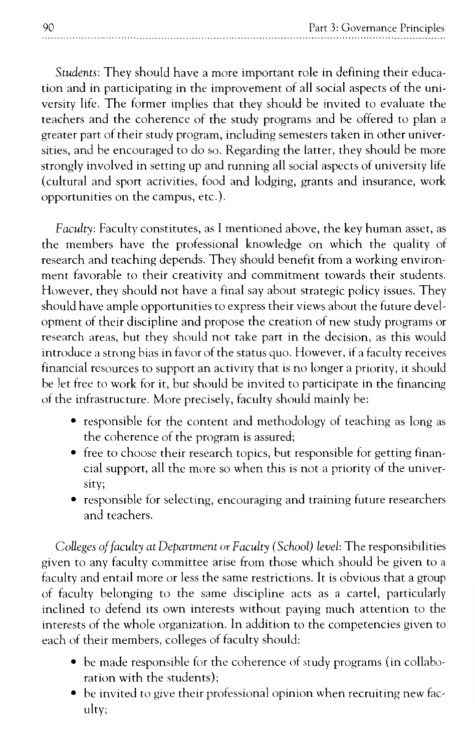*Students:* They should have a more important role in defining their educa~ tion and in participating in the improvement of all social aspects of the uni~ versity life. The former implies that they should be invited to evaluate the teachers and the coherence of the study programs and be offered to plan a greater part of their study program, including semesters taken in other univer~ sities, and be encouraged to do so. Regarding the latter, they should be more strongly involved in setting up and running all social aspects of university life (cultural and sport activities, food and lodging, grants and insurance, work opportunities on the campus, etc.).

*Faculty:* Faculty constitutes, as I mentioned above, the key human asset, as the members have the professional knowledge on which the quality of research and teaching depends. They should benefit from a working environ~ ment favorable to their creativity and commitment towards their students. However, they should not have a final say about strategic policy issues. They should have ample opportunities to express their views about the future devel~ opment of their discipline and propose the creation of new study programs or research areas, but they should not take part in the decision, as this would introduce a strong bias in favor of the status quo. However, if a faculty receives financial resources to support an activity that is no longer a priority, it should be let free to work for it, but should be invited to participate in the financing of the infrastructure. More precisely, faculty should mainly be:

- responsible for the content and methodology of teaching as long as the coherence of the program is assured;
- free to choose their research topics, but responsible for getting financial support, all the more so when this is not a priority of the univer~ sity;
- responsible for selecting, encouraging and training future researchers and teachers.

*Colleges of faculty at Department* or *Faculty (School) level:* The responsibilities given to any faculty committee arise from those which should be given to a faculty and entail more or less the same restrictions. It is obvious that a group of faculty belonging to the same discipline acts as a cartel, particularly inclined to defend its own interests without paying much attention to the interests of the whole organization. In addition to the competencies given to each of their members, colleges of faculty should:

- be made responsible for the coherence of study programs (in collabo~ ration with the students);
- $\bullet$  be invited to give their professional opinion when recruiting new faculty;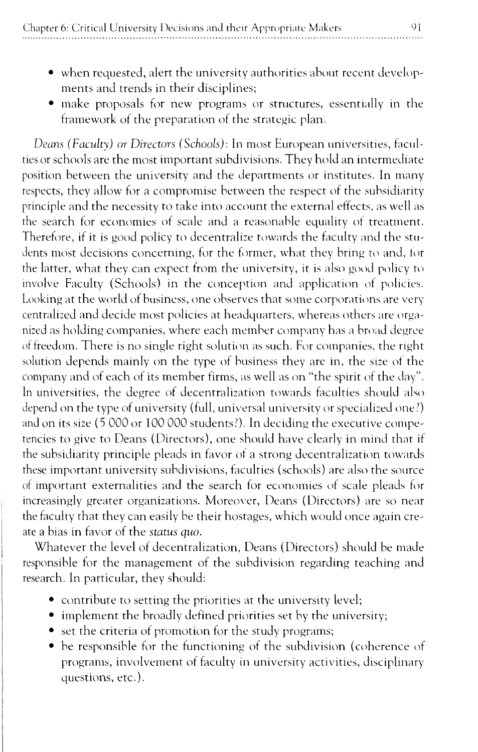- when requested, alert the university authorities about recent developments and trends in their disciplines;
- make proposals for new programs or structures, essentially in the framework of the preparation of the strategic plan.

*Deans (Faculty) or Directors (Schools): In most European universities, facul*ties or schools are the most important subdivisions. They hold an intermediate position between the university and the departments or institutes. In many respects, they allow for a compromise between the respect of the subsidiarity principle and the necessity to take into account the external effects, as well as the search for economies of scale and a reasonable equality of treatment. Therefore, if it is good policy to decentralize towards the faculty and the students most decisions concerning, for the former, what they bring to and, for the latter, what they can expect from the university, it is also good policy to involve Faculty (Schools) in the conception and application of policies. Looking at the world of business, one observes that some corporations are very centralized and decide most policies at headquarters, whereas others are organized as holding companies, where each member company has a broad degree of freedom. There is no single right solution as such. For companies, the right solution depends mainly on the type of business they are in, the size of the company and of each of its member firms, as well as on "the spirit of the day". In universities, the degree of decentralization towards faculties should also depend on the type of university (full, universal university or specialized one?) and on its size (5 000 or 100 000 students?). In deciding the executive competencies to give to Deans (Directors), one should have clearly in mind that if the subsidiarity principle pleads in favor of a strong decentralization towards these important university subdivisions, faculties (schools) are also the source of important externalities and the search for economies of scale pleads for increasingly greater organizations. Moreover, Deans (Directors) are so near the faculty that they can easily be their hostages, which would once again create a bias in favor of the *status quo.* 

Whatever the level of decentralization, Deans (Directors) should he made responsible for the management of the subdivision regarding teaching and research. In particular, they should:

- contribute to setting the priorities at the university level;
- implement the broadly defined priorities set by the university;
- set the criteria of promotion for the study programs;
- be responsible for the functioning of the subdivision (coherence of programs, involvement of faculty in university activities, disciplinary questions, etc.).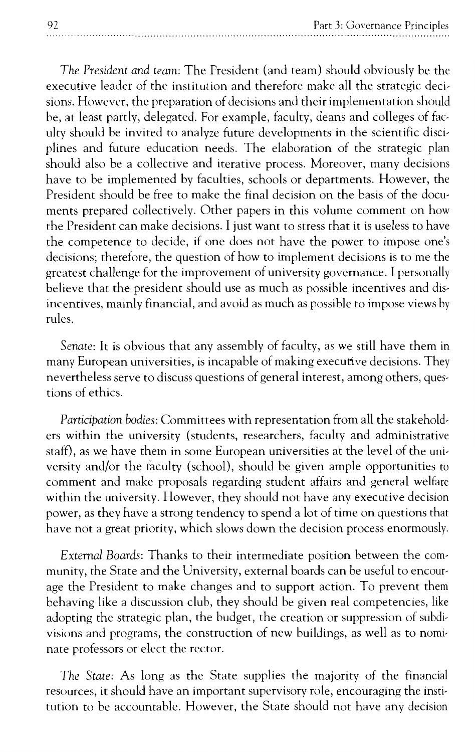*The President and team:* The President (and team) should obviously be the executive leader of the institution and therefore make all the strategic decisions. However, the preparation of decisions and their implementation should be, at least partly, delegated. For example, faculty, deans and colleges of faculty should be invited to analyze future developments in the scientific disciplines and future education needs. The elaboration of the strategic plan should also be a collective and iterative process. Moreover, many decisions have to be implemented by faculties, schools or departments. However, the President should be free to make the final decision on the basis of the documents prepared collectively. Other papers in this volume comment on how the President can make decisions. I just want to stress that it is useless to have the competence to decide, if one does not have the power to impose one's decisions; therefore, the question of how to implement decisions is to me the greatest challenge for the improvement of university governance. I personally believe that the president should use as much as possible incentives and disincentives, mainly financial, and avoid as much as possible to impose views by rules.

*Senate:* It is obvious that any assembly of faculty, as we still have them in many European universities, is incapable of making executive decisions. They nevertheless serve to discuss questions of general interest, among others, questions of ethics.

*Participation bodies:* Committees with representation from all the stakeholders within the university (students, researchers, faculty and administrative staff), as we have them in some European universities at the level of the university and/or the faculty (school), should be given ample opportunities to comment and make proposals regarding student affairs and general welfare within the university. However, they should not have any executive decision power, as they have a strong tendency to spend a lot of time on questions that have not a great priority, which slows down the decision process enormously.

*External Boards:* Thanks to their intermediate position between the community, the State and the University, external boards can be useful to encourage the President to make changes and to support action. To prevent them behaving like a discussion club, they should be given real competencies, like adopting the strategic plan, the budget, the creation or suppression of subdivisions and programs, the construction of new buildings, as well as to nominate professors or elect the rector.

*The State:* As long as the State supplies the majority of the financial resources, it should have an important supervisory role, encouraging the institution to be accountable. However, the State should not have any decision